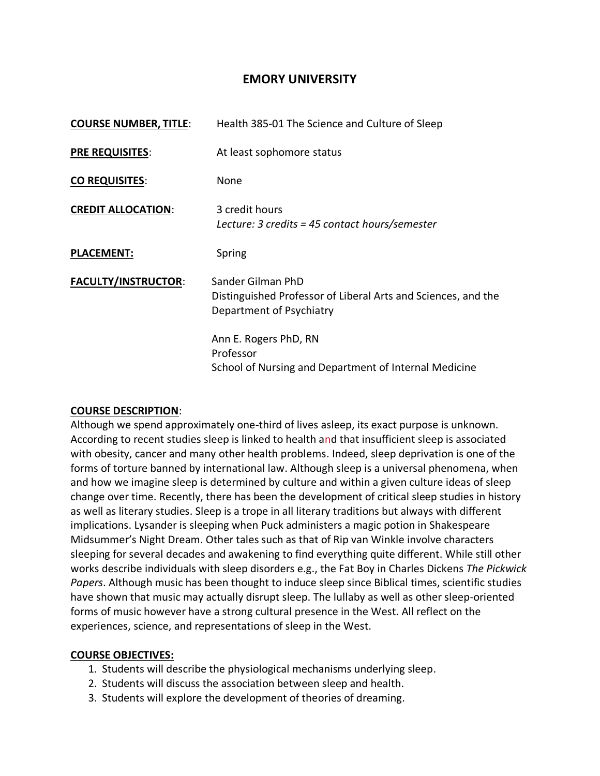# **EMORY UNIVERSITY**

| <b>COURSE NUMBER, TITLE:</b> | Health 385-01 The Science and Culture of Sleep                                                                 |
|------------------------------|----------------------------------------------------------------------------------------------------------------|
| <b>PRE REQUISITES:</b>       | At least sophomore status                                                                                      |
| <b>CO REQUISITES:</b>        | None                                                                                                           |
| <b>CREDIT ALLOCATION:</b>    | 3 credit hours<br>Lecture: 3 credits = 45 contact hours/semester                                               |
| <b>PLACEMENT:</b>            | Spring                                                                                                         |
| <b>FACULTY/INSTRUCTOR:</b>   | Sander Gilman PhD<br>Distinguished Professor of Liberal Arts and Sciences, and the<br>Department of Psychiatry |
|                              | Ann E. Rogers PhD, RN<br>Professor<br>School of Nursing and Department of Internal Medicine                    |

#### **COURSE DESCRIPTION**:

Although we spend approximately one-third of lives asleep, its exact purpose is unknown. According to recent studies sleep is linked to health and that insufficient sleep is associated with obesity, cancer and many other health problems. Indeed, sleep deprivation is one of the forms of torture banned by international law. Although sleep is a universal phenomena, when and how we imagine sleep is determined by culture and within a given culture ideas of sleep change over time. Recently, there has been the development of critical sleep studies in history as well as literary studies. Sleep is a trope in all literary traditions but always with different implications. Lysander is sleeping when Puck administers a magic potion in Shakespeare Midsummer's Night Dream. Other tales such as that of Rip van Winkle involve characters sleeping for several decades and awakening to find everything quite different. While still other works describe individuals with sleep disorders e.g., the Fat Boy in Charles Dickens *The Pickwick Papers*. Although music has been thought to induce sleep since Biblical times, scientific studies have shown that music may actually disrupt sleep. The lullaby as well as other sleep-oriented forms of music however have a strong cultural presence in the West. All reflect on the experiences, science, and representations of sleep in the West.

## **COURSE OBJECTIVES:**

- 1. Students will describe the physiological mechanisms underlying sleep.
- 2. Students will discuss the association between sleep and health.
- 3. Students will explore the development of theories of dreaming.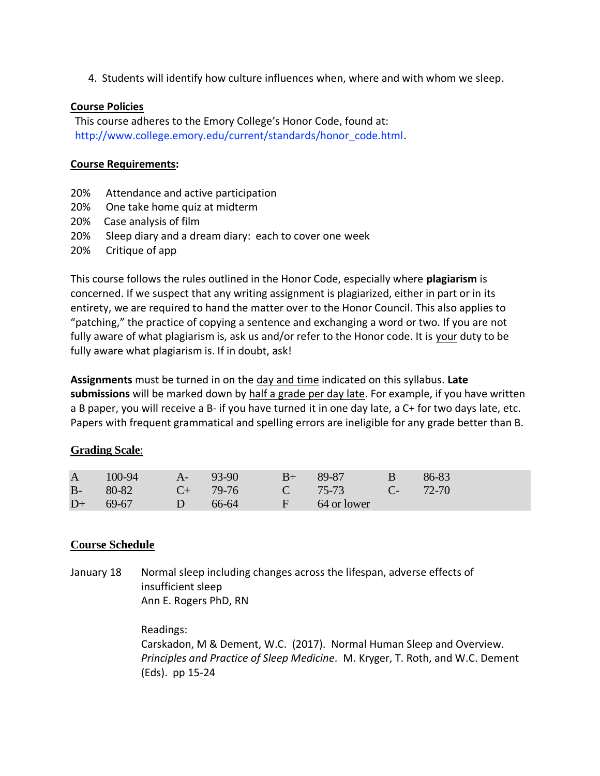4. Students will identify how culture influences when, where and with whom we sleep.

## **Course Policies**

This course adheres to the Emory College's Honor Code, found at: http://www.college.emory.edu/current/standards/honor\_code.html.

## **Course Requirements:**

- 20% Attendance and active participation
- 20% One take home quiz at midterm
- 20% Case analysis of film
- 20% Sleep diary and a dream diary: each to cover one week
- 20% Critique of app

This course follows the rules outlined in the Honor Code, especially where **plagiarism** is concerned. If we suspect that any writing assignment is plagiarized, either in part or in its entirety, we are required to hand the matter over to the Honor Council. This also applies to "patching," the practice of copying a sentence and exchanging a word or two. If you are not fully aware of what plagiarism is, ask us and/or refer to the Honor code. It is your duty to be fully aware what plagiarism is. If in doubt, ask!

**Assignments** must be turned in on the day and time indicated on this syllabus. **Late submissions** will be marked down by half a grade per day late. For example, if you have written a B paper, you will receive a B- if you have turned it in one day late, a C+ for two days late, etc. Papers with frequent grammatical and spelling errors are ineligible for any grade better than B.

# **Grading Scale**:

|      | A 100-94 A- 93-90                  |                            | $B+ 89-87$              | $\overline{B}$ . But the set of $\overline{B}$ | $86-83$ |
|------|------------------------------------|----------------------------|-------------------------|------------------------------------------------|---------|
|      | B- 80-82 C+ 79-76 C 75-73 C- 72-70 |                            |                         |                                                |         |
| $D+$ | $69-67$                            | $\overline{\phantom{0}}$ D | $66-64$ F $64$ or lower |                                                |         |

# **Course Schedule**

January 18 Normal sleep including changes across the lifespan, adverse effects of insufficient sleep Ann E. Rogers PhD, RN

> Readings: Carskadon, M & Dement, W.C. (2017). Normal Human Sleep and Overview. *Principles and Practice of Sleep Medicine.* M. Kryger, T. Roth, and W.C. Dement (Eds). pp 15-24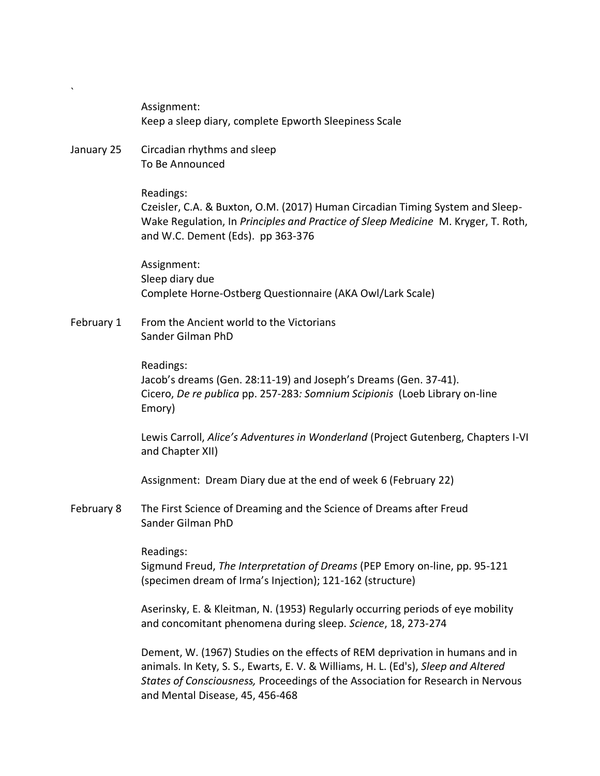Assignment: Keep a sleep diary, complete Epworth Sleepiness Scale

January 25 Circadian rhythms and sleep To Be Announced

#### Readings:

`

Czeisler, C.A. & Buxton, O.M. (2017) Human Circadian Timing System and Sleep-Wake Regulation, In *Principles and Practice of Sleep Medicine* M. Kryger, T. Roth, and W.C. Dement (Eds). pp 363-376

Assignment: Sleep diary due Complete Horne-Ostberg Questionnaire (AKA Owl/Lark Scale)

February 1 From the Ancient world to the Victorians Sander Gilman PhD

> Readings: Jacob's dreams (Gen. 28:11-19) and Joseph's Dreams (Gen. 37-41). Cicero, *De re publica* pp. 257-283*: Somnium Scipionis* (Loeb Library on-line Emory)

Lewis Carroll, *Alice's Adventures in Wonderland* (Project Gutenberg, Chapters I-VI and Chapter XII)

Assignment: Dream Diary due at the end of week 6 (February 22)

February 8 The First Science of Dreaming and the Science of Dreams after Freud Sander Gilman PhD

Readings:

Sigmund Freud, *The Interpretation of Dreams* (PEP Emory on-line, pp. 95-121 (specimen dream of Irma's Injection); 121-162 (structure)

Aserinsky, E. & Kleitman, N. (1953) Regularly occurring periods of eye mobility and concomitant phenomena during sleep. *Science*, 18, 273-274

Dement, W. (1967) Studies on the effects of REM deprivation in humans and in animals. In Kety, S. S., Ewarts, E. V. & Williams, H. L. (Ed's), *Sleep and Altered States of Consciousness,* Proceedings of the Association for Research in Nervous and Mental Disease, 45, 456-468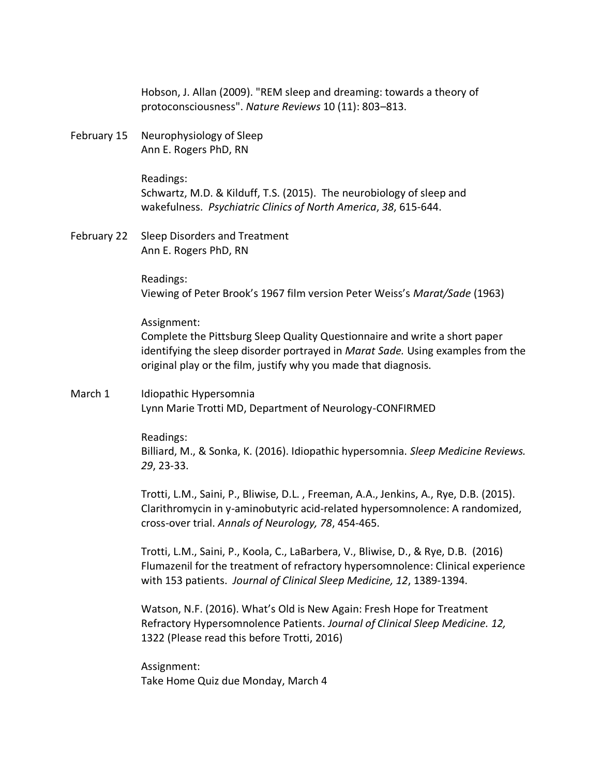Hobson, J. Allan (2009). "REM sleep and dreaming: towards a theory of protoconsciousness". *Nature Reviews* 10 (11): 803–813.

February 15 Neurophysiology of Sleep Ann E. Rogers PhD, RN

> Readings: Schwartz, M.D. & Kilduff, T.S. (2015). The neurobiology of sleep and wakefulness. *Psychiatric Clinics of North America*, *38*, 615-644.

February 22 Sleep Disorders and Treatment Ann E. Rogers PhD, RN

> Readings: Viewing of Peter Brook's 1967 film version Peter Weiss's *Marat/Sade* (1963)

Assignment:

Complete the Pittsburg Sleep Quality Questionnaire and write a short paper identifying the sleep disorder portrayed in *Marat Sade.* Using examples from the original play or the film, justify why you made that diagnosis.

March 1 Idiopathic Hypersomnia Lynn Marie Trotti MD, Department of Neurology-CONFIRMED

> Readings: Billiard, M., & Sonka, K. (2016). Idiopathic hypersomnia. *Sleep Medicine Reviews. 29*, 23-33.

> Trotti, L.M., Saini, P., Bliwise, D.L. , Freeman, A.A., Jenkins, A., Rye, D.B. (2015). Clarithromycin in y-aminobutyric acid-related hypersomnolence: A randomized, cross-over trial. *Annals of Neurology, 78*, 454-465.

> Trotti, L.M., Saini, P., Koola, C., LaBarbera, V., Bliwise, D., & Rye, D.B. (2016) Flumazenil for the treatment of refractory hypersomnolence: Clinical experience with 153 patients. *Journal of Clinical Sleep Medicine, 12*, 1389-1394.

Watson, N.F. (2016). What's Old is New Again: Fresh Hope for Treatment Refractory Hypersomnolence Patients. *Journal of Clinical Sleep Medicine. 12,*  1322 (Please read this before Trotti, 2016)

Assignment: Take Home Quiz due Monday, March 4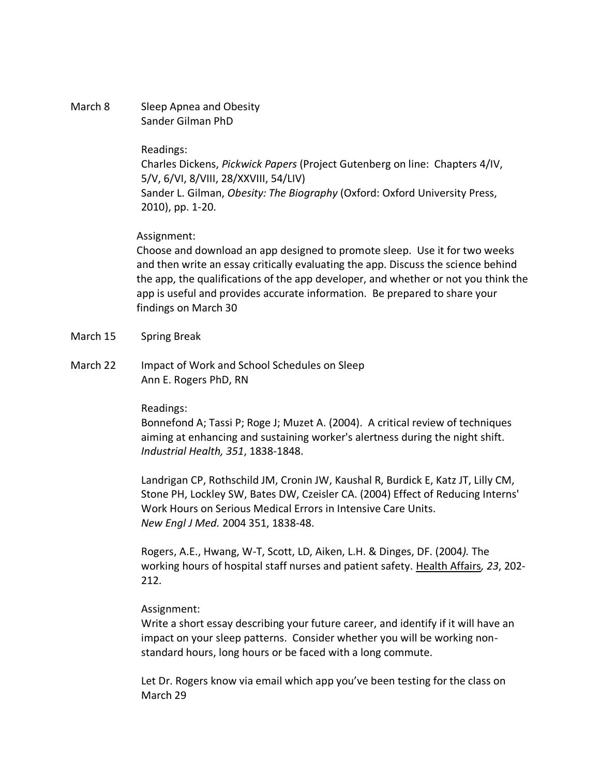### March 8 Sleep Apnea and Obesity Sander Gilman PhD

#### Readings:

Charles Dickens, *Pickwick Papers* (Project Gutenberg on line: Chapters 4/IV, 5/V, 6/VI, 8/VIII, 28/XXVIII, 54/LIV) Sander L. Gilman, *Obesity: The Biography* (Oxford: Oxford University Press, 2010), pp. 1-20.

## Assignment:

Choose and download an app designed to promote sleep. Use it for two weeks and then write an essay critically evaluating the app. Discuss the science behind the app, the qualifications of the app developer, and whether or not you think the app is useful and provides accurate information. Be prepared to share your findings on March 30

- March 15 Spring Break
- March 22 Impact of Work and School Schedules on Sleep Ann E. Rogers PhD, RN

## Readings:

Bonnefond A; Tassi P; Roge J; Muzet A. (2004). A critical review of techniques aiming at enhancing and sustaining worker's alertness during the night shift. *Industrial Health, 351*, 1838-1848.

Landrigan CP, Rothschild JM, Cronin JW, Kaushal R, Burdick E, Katz JT, Lilly CM, Stone PH, Lockley SW, Bates DW, Czeisler CA. (2004) Effect of Reducing Interns' Work Hours on Serious Medical Errors in Intensive Care Units. *New Engl J Med.* 2004 351, 1838-48.

Rogers, A.E., Hwang, W-T, Scott, LD, Aiken, L.H. & Dinges, DF. (2004*).* The working hours of hospital staff nurses and patient safety. Health Affairs*, 23*, 202- 212.

## Assignment:

Write a short essay describing your future career, and identify if it will have an impact on your sleep patterns. Consider whether you will be working nonstandard hours, long hours or be faced with a long commute.

Let Dr. Rogers know via email which app you've been testing for the class on March 29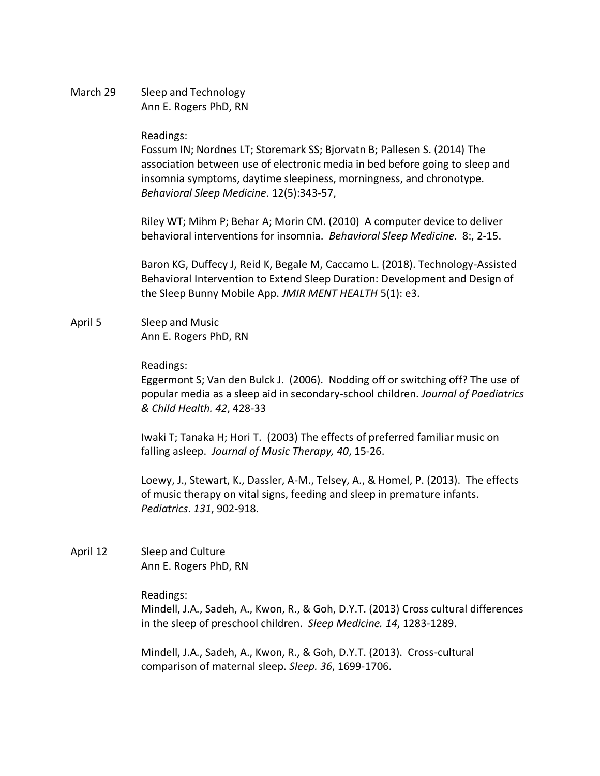March 29 Sleep and Technology Ann E. Rogers PhD, RN

#### Readings:

Fossum IN; Nordnes LT; Storemark SS; Bjorvatn B; Pallesen S. (2014) The association between use of electronic media in bed before going to sleep and insomnia symptoms, daytime sleepiness, morningness, and chronotype. *Behavioral Sleep Medicine*. 12(5):343-57,

Riley WT; Mihm P; Behar A; Morin CM. (2010) A computer device to deliver behavioral interventions for insomnia. *Behavioral Sleep Medicine*. 8:, 2-15.

Baron KG, Duffecy J, Reid K, Begale M, Caccamo L. (2018). Technology-Assisted Behavioral Intervention to Extend Sleep Duration: Development and Design of the Sleep Bunny Mobile App. *JMIR MENT HEALTH* 5(1): e3.

April 5 Sleep and Music Ann E. Rogers PhD, RN

#### Readings:

Eggermont S; Van den Bulck J. (2006). Nodding off or switching off? The use of popular media as a sleep aid in secondary-school children. *Journal of Paediatrics & Child Health. 42*, 428-33

Iwaki T; Tanaka H; Hori T. (2003) The effects of preferred familiar music on falling asleep. *Journal of Music Therapy, 40*, 15-26.

Loewy, J., Stewart, K., Dassler, A-M., Telsey, A., & Homel, P. (2013). The effects of music therapy on vital signs, feeding and sleep in premature infants. *Pediatrics*. *131*, 902-918.

April 12 Sleep and Culture Ann E. Rogers PhD, RN

Readings:

Mindell, J.A., Sadeh, A., Kwon, R., & Goh, D.Y.T. (2013) Cross cultural differences in the sleep of preschool children. *Sleep Medicine. 14*, 1283-1289.

Mindell, J.A., Sadeh, A., Kwon, R., & Goh, D.Y.T. (2013). Cross-cultural comparison of maternal sleep. *Sleep. 36*, 1699-1706.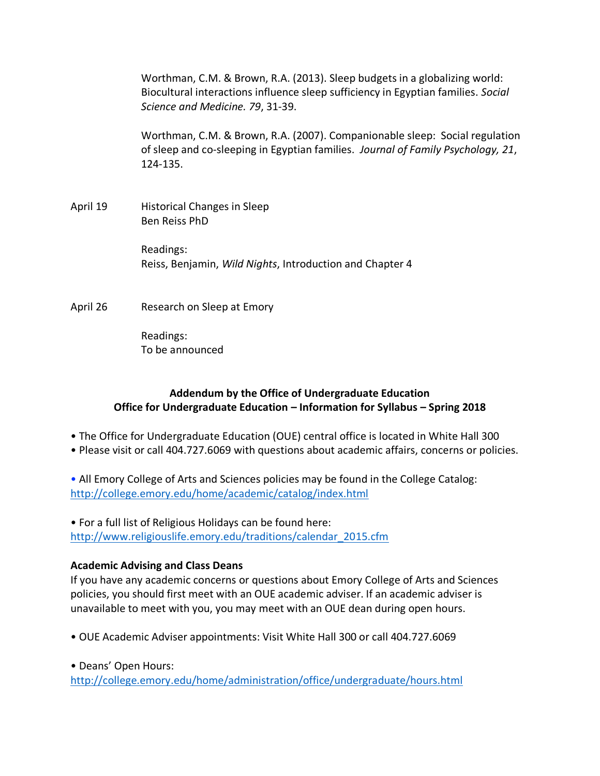Worthman, C.M. & Brown, R.A. (2013). Sleep budgets in a globalizing world: Biocultural interactions influence sleep sufficiency in Egyptian families. *Social Science and Medicine. 79*, 31-39.

Worthman, C.M. & Brown, R.A. (2007). Companionable sleep: Social regulation of sleep and co-sleeping in Egyptian families. *Journal of Family Psychology, 21*, 124-135.

April 19 Historical Changes in Sleep Ben Reiss PhD

> Readings: Reiss, Benjamin, *Wild Nights*, Introduction and Chapter 4

April 26 Research on Sleep at Emory

Readings: To be announced

# **Addendum by the Office of Undergraduate Education Office for Undergraduate Education – Information for Syllabus – Spring 2018**

- The Office for Undergraduate Education (OUE) central office is located in White Hall 300
- Please visit or call 404.727.6069 with questions about academic affairs, concerns or policies.

• All Emory College of Arts and Sciences policies may be found in the College Catalog: <http://college.emory.edu/home/academic/catalog/index.html>

• For a full list of Religious Holidays can be found here: [http://www.religiouslife.emory.edu/traditions/calendar\\_2015.cfm](http://www.religiouslife.emory.edu/traditions/calendar_2015.cfm)

# **Academic Advising and Class Deans**

If you have any academic concerns or questions about Emory College of Arts and Sciences policies, you should first meet with an OUE academic adviser. If an academic adviser is unavailable to meet with you, you may meet with an OUE dean during open hours.

• OUE Academic Adviser appointments: Visit White Hall 300 or call 404.727.6069

• Deans' Open Hours:

<http://college.emory.edu/home/administration/office/undergraduate/hours.html>